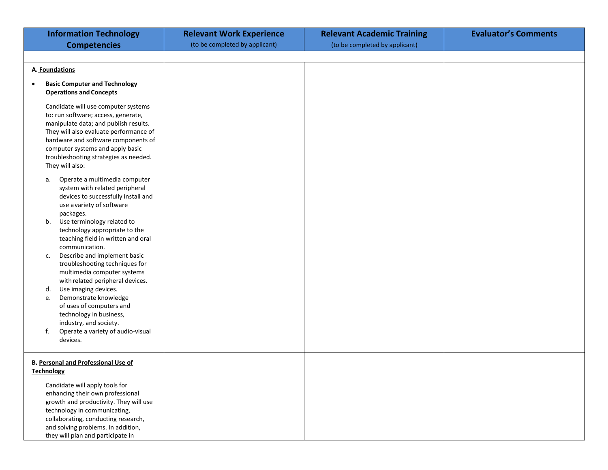| <b>Information Technology</b>                                                                                                                                                                                                                                                                        | <b>Relevant Work Experience</b> | <b>Relevant Academic Training</b> | <b>Evaluator's Comments</b> |
|------------------------------------------------------------------------------------------------------------------------------------------------------------------------------------------------------------------------------------------------------------------------------------------------------|---------------------------------|-----------------------------------|-----------------------------|
| <b>Competencies</b>                                                                                                                                                                                                                                                                                  | (to be completed by applicant)  | (to be completed by applicant)    |                             |
|                                                                                                                                                                                                                                                                                                      |                                 |                                   |                             |
| A. Foundations                                                                                                                                                                                                                                                                                       |                                 |                                   |                             |
| <b>Basic Computer and Technology</b><br><b>Operations and Concepts</b>                                                                                                                                                                                                                               |                                 |                                   |                             |
| Candidate will use computer systems<br>to: run software; access, generate,<br>manipulate data; and publish results.<br>They will also evaluate performance of<br>hardware and software components of<br>computer systems and apply basic<br>troubleshooting strategies as needed.<br>They will also: |                                 |                                   |                             |
| Operate a multimedia computer<br>а.<br>system with related peripheral<br>devices to successfully install and<br>use avariety of software<br>packages.<br>Use terminology related to<br>b.<br>technology appropriate to the<br>teaching field in written and oral<br>communication.                   |                                 |                                   |                             |
| Describe and implement basic<br>c.<br>troubleshooting techniques for<br>multimedia computer systems<br>with related peripheral devices.                                                                                                                                                              |                                 |                                   |                             |
| Use imaging devices.<br>d.<br>Demonstrate knowledge<br>e.<br>of uses of computers and<br>technology in business,<br>industry, and society.                                                                                                                                                           |                                 |                                   |                             |
| f.<br>Operate a variety of audio-visual<br>devices.                                                                                                                                                                                                                                                  |                                 |                                   |                             |
| <b>B. Personal and Professional Use of</b><br><b>Technology</b>                                                                                                                                                                                                                                      |                                 |                                   |                             |
| Candidate will apply tools for<br>enhancing their own professional<br>growth and productivity. They will use<br>technology in communicating,<br>collaborating, conducting research,<br>and solving problems. In addition,<br>they will plan and participate in                                       |                                 |                                   |                             |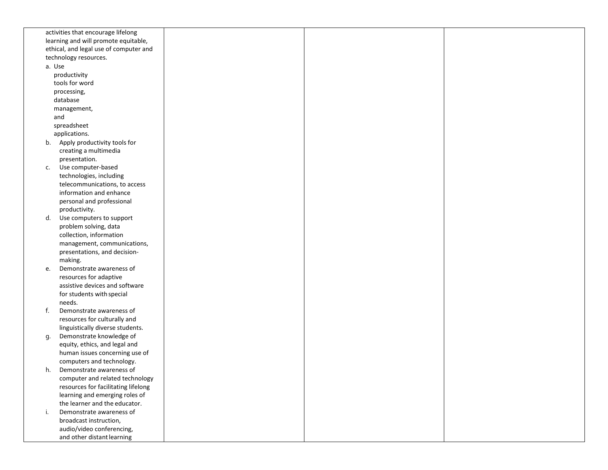|                                      | activities that encourage lifelong     |  |  |
|--------------------------------------|----------------------------------------|--|--|
| learning and will promote equitable, |                                        |  |  |
|                                      | ethical, and legal use of computer and |  |  |
|                                      | technology resources.                  |  |  |
|                                      | a. Use                                 |  |  |
|                                      | productivity                           |  |  |
|                                      | tools for word                         |  |  |
|                                      | processing,                            |  |  |
|                                      | database                               |  |  |
|                                      | management,                            |  |  |
|                                      | and                                    |  |  |
|                                      | spreadsheet                            |  |  |
|                                      | applications.                          |  |  |
|                                      | b. Apply productivity tools for        |  |  |
|                                      | creating a multimedia                  |  |  |
|                                      | presentation.                          |  |  |
| C.                                   | Use computer-based                     |  |  |
|                                      | technologies, including                |  |  |
|                                      | telecommunications, to access          |  |  |
|                                      | information and enhance                |  |  |
|                                      | personal and professional              |  |  |
|                                      | productivity.                          |  |  |
| d.                                   | Use computers to support               |  |  |
|                                      | problem solving, data                  |  |  |
|                                      | collection, information                |  |  |
|                                      | management, communications,            |  |  |
|                                      | presentations, and decision-           |  |  |
|                                      | making.                                |  |  |
| e.                                   | Demonstrate awareness of               |  |  |
|                                      | resources for adaptive                 |  |  |
|                                      | assistive devices and software         |  |  |
|                                      | for students with special              |  |  |
|                                      | needs.                                 |  |  |
| f.                                   | Demonstrate awareness of               |  |  |
|                                      | resources for culturally and           |  |  |
|                                      | linguistically diverse students.       |  |  |
| g.                                   | Demonstrate knowledge of               |  |  |
|                                      | equity, ethics, and legal and          |  |  |
|                                      | human issues concerning use of         |  |  |
|                                      | computers and technology.              |  |  |
| h.                                   | Demonstrate awareness of               |  |  |
|                                      | computer and related technology        |  |  |
|                                      | resources for facilitating lifelong    |  |  |
|                                      | learning and emerging roles of         |  |  |
|                                      | the learner and the educator.          |  |  |
| i.                                   | Demonstrate awareness of               |  |  |
|                                      | broadcast instruction,                 |  |  |
|                                      | audio/video conferencing,              |  |  |
|                                      | and other distant learning             |  |  |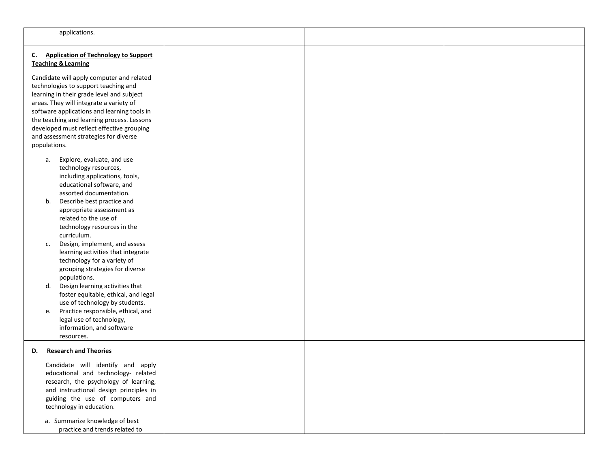| applications.                                                                                                                                                                                                                                                                                                                                                                                                                                                                                                                                                                                                                                                                                    |  |  |
|--------------------------------------------------------------------------------------------------------------------------------------------------------------------------------------------------------------------------------------------------------------------------------------------------------------------------------------------------------------------------------------------------------------------------------------------------------------------------------------------------------------------------------------------------------------------------------------------------------------------------------------------------------------------------------------------------|--|--|
| <b>Application of Technology to Support</b><br>C.<br><b>Teaching &amp; Learning</b><br>Candidate will apply computer and related<br>technologies to support teaching and<br>learning in their grade level and subject<br>areas. They will integrate a variety of<br>software applications and learning tools in<br>the teaching and learning process. Lessons<br>developed must reflect effective grouping<br>and assessment strategies for diverse<br>populations.                                                                                                                                                                                                                              |  |  |
| Explore, evaluate, and use<br>а.<br>technology resources,<br>including applications, tools,<br>educational software, and<br>assorted documentation.<br>Describe best practice and<br>b.<br>appropriate assessment as<br>related to the use of<br>technology resources in the<br>curriculum.<br>Design, implement, and assess<br>c.<br>learning activities that integrate<br>technology for a variety of<br>grouping strategies for diverse<br>populations.<br>Design learning activities that<br>d.<br>foster equitable, ethical, and legal<br>use of technology by students.<br>Practice responsible, ethical, and<br>e.<br>legal use of technology,<br>information, and software<br>resources. |  |  |
| <b>Research and Theories</b><br>D.<br>Candidate will identify and apply<br>educational and technology- related<br>research, the psychology of learning,<br>and instructional design principles in<br>guiding the use of computers and<br>technology in education.<br>a. Summarize knowledge of best<br>practice and trends related to                                                                                                                                                                                                                                                                                                                                                            |  |  |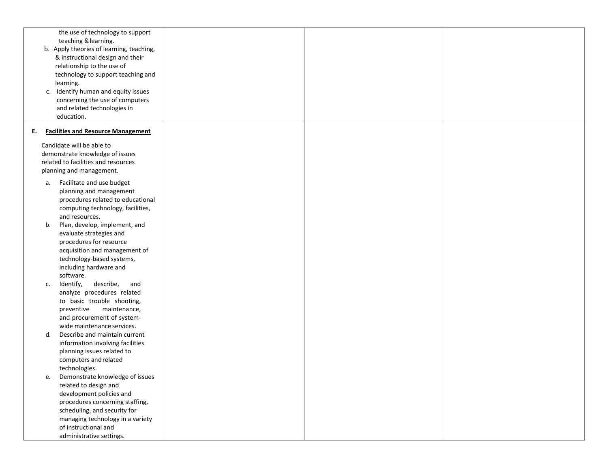|    | the use of technology to support<br>teaching & learning.<br>b. Apply theories of learning, teaching, |  |  |
|----|------------------------------------------------------------------------------------------------------|--|--|
|    | & instructional design and their                                                                     |  |  |
|    | relationship to the use of                                                                           |  |  |
|    | technology to support teaching and                                                                   |  |  |
|    | learning.                                                                                            |  |  |
|    | c. Identify human and equity issues                                                                  |  |  |
|    | concerning the use of computers                                                                      |  |  |
|    | and related technologies in                                                                          |  |  |
|    | education.                                                                                           |  |  |
|    |                                                                                                      |  |  |
| Е. | <b>Facilities and Resource Management</b>                                                            |  |  |
|    | Candidate will be able to                                                                            |  |  |
|    | demonstrate knowledge of issues                                                                      |  |  |
|    | related to facilities and resources                                                                  |  |  |
|    | planning and management.                                                                             |  |  |
| а. | Facilitate and use budget                                                                            |  |  |
|    | planning and management                                                                              |  |  |
|    | procedures related to educational                                                                    |  |  |
|    | computing technology, facilities,                                                                    |  |  |
|    | and resources.                                                                                       |  |  |
| b. | Plan, develop, implement, and                                                                        |  |  |
|    | evaluate strategies and                                                                              |  |  |
|    | procedures for resource                                                                              |  |  |
|    | acquisition and management of                                                                        |  |  |
|    | technology-based systems,                                                                            |  |  |
|    | including hardware and                                                                               |  |  |
|    | software.                                                                                            |  |  |
| c. | Identify,<br>describe,<br>and                                                                        |  |  |
|    | analyze procedures related                                                                           |  |  |
|    | to basic trouble shooting,                                                                           |  |  |
|    | maintenance,<br>preventive                                                                           |  |  |
|    | and procurement of system-                                                                           |  |  |
|    | wide maintenance services.                                                                           |  |  |
| d. | Describe and maintain current                                                                        |  |  |
|    | information involving facilities                                                                     |  |  |
|    | planning issues related to                                                                           |  |  |
|    | computers and related                                                                                |  |  |
|    | technologies.                                                                                        |  |  |
| e. | Demonstrate knowledge of issues                                                                      |  |  |
|    | related to design and                                                                                |  |  |
|    | development policies and                                                                             |  |  |
|    | procedures concerning staffing,                                                                      |  |  |
|    | scheduling, and security for                                                                         |  |  |
|    | managing technology in a variety                                                                     |  |  |
|    | of instructional and                                                                                 |  |  |
|    | administrative settings.                                                                             |  |  |
|    |                                                                                                      |  |  |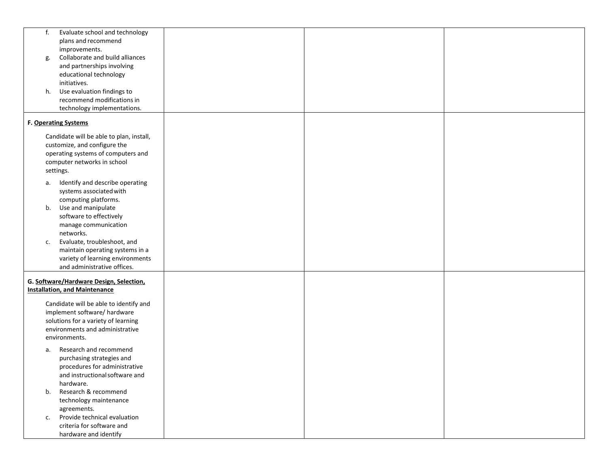| f. | Evaluate school and technology<br>plans and recommend |  |  |
|----|-------------------------------------------------------|--|--|
|    | improvements.                                         |  |  |
|    | Collaborate and build alliances                       |  |  |
| g. | and partnerships involving                            |  |  |
|    | educational technology                                |  |  |
|    | initiatives.                                          |  |  |
|    |                                                       |  |  |
| h. | Use evaluation findings to                            |  |  |
|    | recommend modifications in                            |  |  |
|    | technology implementations.                           |  |  |
|    | F. Operating Systems                                  |  |  |
|    | Candidate will be able to plan, install,              |  |  |
|    | customize, and configure the                          |  |  |
|    | operating systems of computers and                    |  |  |
|    | computer networks in school                           |  |  |
|    | settings.                                             |  |  |
|    |                                                       |  |  |
| а. | Identify and describe operating                       |  |  |
|    | systems associated with                               |  |  |
|    | computing platforms.                                  |  |  |
| b. | Use and manipulate                                    |  |  |
|    | software to effectively                               |  |  |
|    | manage communication                                  |  |  |
|    | networks.                                             |  |  |
| c. | Evaluate, troubleshoot, and                           |  |  |
|    | maintain operating systems in a                       |  |  |
|    | variety of learning environments                      |  |  |
|    | and administrative offices.                           |  |  |
|    | G. Software/Hardware Design, Selection,               |  |  |
|    | <b>Installation, and Maintenance</b>                  |  |  |
|    | Candidate will be able to identify and                |  |  |
|    | implement software/ hardware                          |  |  |
|    | solutions for a variety of learning                   |  |  |
|    | environments and administrative                       |  |  |
|    | environments.                                         |  |  |
|    |                                                       |  |  |
| a. | Research and recommend                                |  |  |
|    | purchasing strategies and                             |  |  |
|    | procedures for administrative                         |  |  |
|    | and instructional software and                        |  |  |
|    | hardware.                                             |  |  |
| b. | Research & recommend                                  |  |  |
|    | technology maintenance                                |  |  |
|    | agreements.                                           |  |  |
| c. | Provide technical evaluation                          |  |  |
|    | criteria for software and                             |  |  |
|    | hardware and identify                                 |  |  |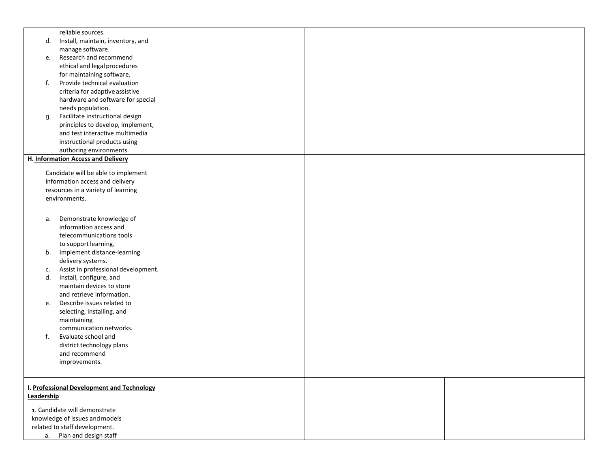|                                | reliable sources.                         |  |  |
|--------------------------------|-------------------------------------------|--|--|
| d.                             | Install, maintain, inventory, and         |  |  |
|                                | manage software.                          |  |  |
| е.                             | Research and recommend                    |  |  |
|                                | ethical and legal procedures              |  |  |
|                                | for maintaining software.                 |  |  |
| f.                             | Provide technical evaluation              |  |  |
|                                | criteria for adaptive assistive           |  |  |
|                                | hardware and software for special         |  |  |
|                                |                                           |  |  |
|                                | needs population.                         |  |  |
| g.                             | Facilitate instructional design           |  |  |
|                                | principles to develop, implement,         |  |  |
|                                | and test interactive multimedia           |  |  |
|                                | instructional products using              |  |  |
|                                | authoring environments.                   |  |  |
|                                | H. Information Access and Delivery        |  |  |
|                                |                                           |  |  |
|                                | Candidate will be able to implement       |  |  |
|                                | information access and delivery           |  |  |
|                                | resources in a variety of learning        |  |  |
|                                | environments.                             |  |  |
|                                |                                           |  |  |
| a.                             | Demonstrate knowledge of                  |  |  |
|                                | information access and                    |  |  |
|                                | telecommunications tools                  |  |  |
|                                |                                           |  |  |
|                                | to support learning.                      |  |  |
| b.                             | Implement distance-learning               |  |  |
|                                | delivery systems.                         |  |  |
| c.                             | Assist in professional development.       |  |  |
| d.                             | Install, configure, and                   |  |  |
|                                | maintain devices to store                 |  |  |
|                                | and retrieve information.                 |  |  |
| e.                             | Describe issues related to                |  |  |
|                                | selecting, installing, and                |  |  |
|                                | maintaining                               |  |  |
|                                | communication networks.                   |  |  |
| f.                             | Evaluate school and                       |  |  |
|                                | district technology plans                 |  |  |
|                                | and recommend                             |  |  |
|                                | improvements.                             |  |  |
|                                |                                           |  |  |
|                                |                                           |  |  |
|                                | . Professional Development and Technology |  |  |
| Leadership                     |                                           |  |  |
|                                |                                           |  |  |
|                                | 1. Candidate will demonstrate             |  |  |
| knowledge of issues and models |                                           |  |  |
| related to staff development.  |                                           |  |  |
| a. Plan and design staff       |                                           |  |  |